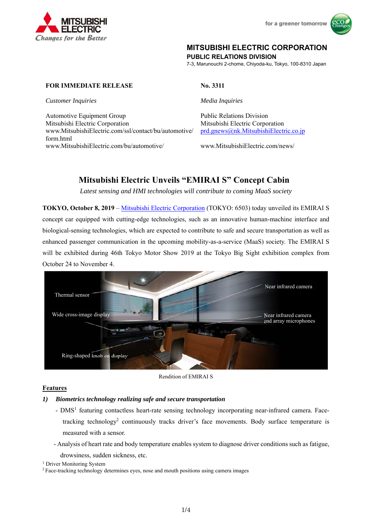



# **MITSUBISHI ELECTRIC CORPORATION**

**PUBLIC RELATIONS DIVISION** 

7-3, Marunouchi 2-chome, Chiyoda-ku, Tokyo, 100-8310 Japan

# **FOR IMMEDIATE RELEASE** No. 3311

*Customer Inquiries Media Inquiries* 

Automotive Equipment Group **Public Relations Division** Public Relations Division Mitsubishi Electric Corporation Mitsubishi Electric Corporation www.MitsubishiElectric.com/ssl/contact/bu/automotive/ form.html www.MitsubishiElectric.com/bu/automotive/ www.MitsubishiElectric.com/news/

prd.gnews@nk.MitsubishiElectric.co.jp

# **Mitsubishi Electric Unveils "EMIRAI S" Concept Cabin**

*Latest sensing and HMI technologies will contribute to coming MaaS society* 

**TOKYO, October 8, 2019** – Mitsubishi Electric Corporation (TOKYO: 6503) today unveiled its EMIRAI S concept car equipped with cutting-edge technologies, such as an innovative human-machine interface and biological-sensing technologies, which are expected to contribute to safe and secure transportation as well as enhanced passenger communication in the upcoming mobility-as-a-service (MaaS) society. The EMIRAI S will be exhibited during 46th Tokyo Motor Show 2019 at the Tokyo Big Sight exhibition complex from October 24 to November 4.



Rendition of EMIRAI S

# **Features**

# *1) Biometrics technology realizing safe and secure transportation*

- DMS<sup>1</sup> featuring contactless heart-rate sensing technology incorporating near-infrared camera. Facetracking technology<sup>2</sup> continuously tracks driver's face movements. Body surface temperature is measured with a sensor.
- Analysis of heart rate and body temperature enables system to diagnose driver conditions such as fatigue,

drowsiness, sudden sickness, etc.<br><sup>1</sup> Driver Monitoring System

<sup>&</sup>lt;sup>2</sup> Face-tracking technology determines eyes, nose and mouth positions using camera images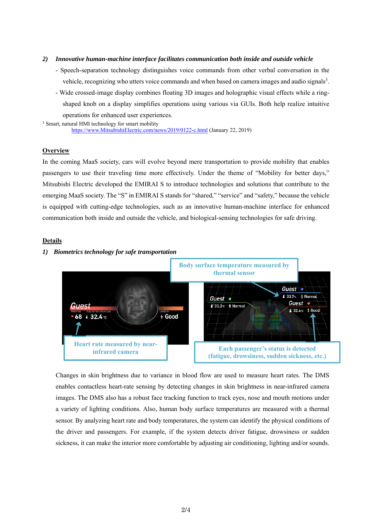- *2) Innovative human-machine interface facilitates communication both inside and outside vehicle* 
	- Speech-separation technology distinguishes voice commands from other verbal conversation in the vehicle, recognizing who utters voice commands and when based on camera images and audio signals<sup>3</sup>.
- Wide crossed-image display combines floating 3D images and holographic visual effects while a ringshaped knob on a display simplifies operations using various via GUIs. Both help realize intuitive operations for enhanced user experiences. 3 Smart, natural HMI technology for smart mobility

https://www.MitsubishiElectric.com/news/2019/0122-c.html (January 22, 2019)

### **Overview**

In the coming MaaS society, cars will evolve beyond mere transportation to provide mobility that enables passengers to use their traveling time more effectively. Under the theme of "Mobility for better days," Mitsubishi Electric developed the EMIRAI S to introduce technologies and solutions that contribute to the emerging MaaS society. The "S" in EMIRAI S stands for "shared," "service" and "safety," because the vehicle is equipped with cutting-edge technologies, such as an innovative human-machine interface for enhanced communication both inside and outside the vehicle, and biological-sensing technologies for safe driving.

### **Details**



#### *1) Biometrics technology for safe transportation*

Changes in skin brightness due to variance in blood flow are used to measure heart rates. The DMS enables contactless heart-rate sensing by detecting changes in skin brightness in near-infrared camera images. The DMS also has a robust face tracking function to track eyes, nose and mouth motions under a variety of lighting conditions. Also, human body surface temperatures are measured with a thermal sensor. By analyzing heart rate and body temperatures, the system can identify the physical conditions of the driver and passengers. For example, if the system detects driver fatigue, drowsiness or sudden sickness, it can make the interior more comfortable by adjusting air conditioning, lighting and/or sounds.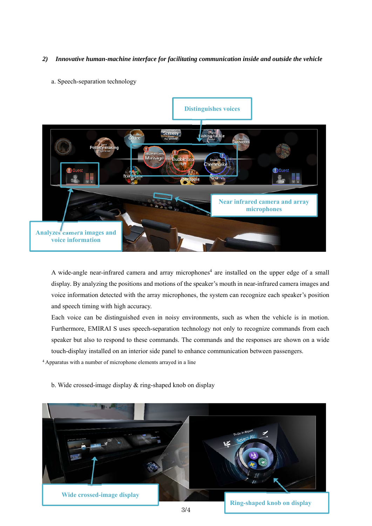# *2) Innovative human-machine interface for facilitating communication inside and outside the vehicle*

# a. Speech-separation technology



A wide-angle near-infrared camera and array microphones<sup>4</sup> are installed on the upper edge of a small display. By analyzing the positions and motions of the speaker's mouth in near-infrared camera images and voice information detected with the array microphones, the system can recognize each speaker's position and speech timing with high accuracy.

Each voice can be distinguished even in noisy environments, such as when the vehicle is in motion. Furthermore, EMIRAI S uses speech-separation technology not only to recognize commands from each speaker but also to respond to these commands. The commands and the responses are shown on a wide touch-display installed on an interior side panel to enhance communication between passengers.

4 Apparatus with a number of microphone elements arrayed in a line

b. Wide crossed-image display & ring-shaped knob on display